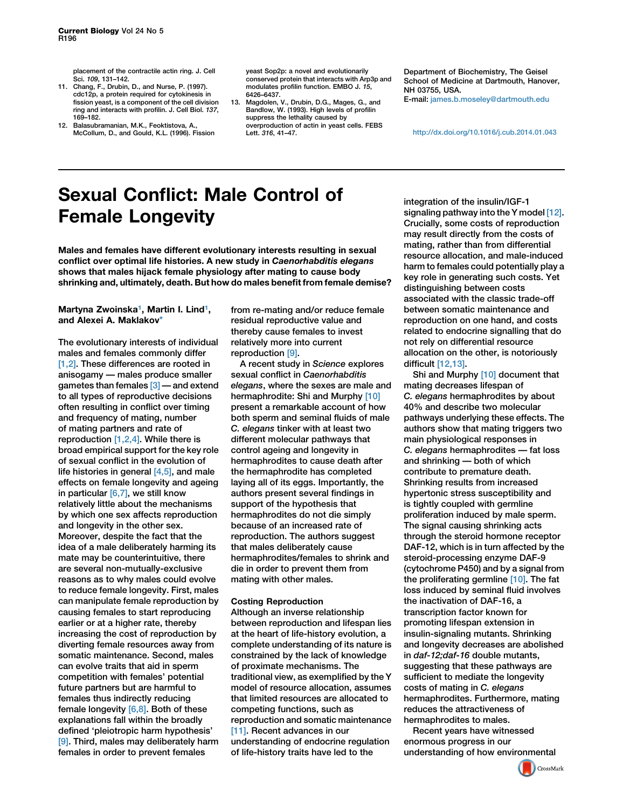placement of the contractile actin ring. J. Cell Sci. 109, 131–142.

- 11. Chang, F., Drubin, D., and Nurse, P. (1997). cdc12p, a protein required for cytokinesis in fission yeast, is a component of the cell division ring and interacts with profilin. J. Cell Biol. 137, 169–182.
- 12. Balasubramanian, M.K., Feoktistova, A. McCollum, D., and Gould, K.L. (1996). Fission

yeast Sop2p: a novel and evolutionarily conserved protein that interacts with Arp3p and modulates profilin function. EMBO J. 15, 6426–6437.

13. Magdolen, V., Drubin, D.G., Mages, G., and Bandlow, W. (1993). High levels of profilin suppress the lethality caused by overproduction of actin in yeast cells. FEBS Lett. 316, 41–47.

Department of Biochemistry, The Geisel School of Medicine at Dartmouth, Hanover, NH 03755, USA.

E-mail: [james.b.moseley@dartmouth.edu](mailto:james.b.moseley@dartmouth.edu)

<http://dx.doi.org/10.1016/j.cub.2014.01.043>

# Sexual Conflict: Male Control of Female Longevity

Males and females have different evolutionary interests resulting in sexual conflict over optimal life histories. A new study in Caenorhabditis elegans shows that males hijack female physiology after mating to cause body shrinking and, ultimately, death. But how do males benefit from female demise?

Martyna Zwoinska<sup>1</sup>, Martin I. Lind<sup>1</sup>, and Alexei A. Maklako[v\\*](#page-2-0)

The evolutionary interests of individual males and females commonly differ [\[1,2\].](#page-1-0) These differences are rooted in anisogamy — males produce smaller gametes than females  $[3]$  — and extend to all types of reproductive decisions often resulting in conflict over timing and frequency of mating, number of mating partners and rate of reproduction  $[1,2,4]$ . While there is broad empirical support for the key role of sexual conflict in the evolution of life histories in general  $[4,5]$ , and male effects on female longevity and ageing in particular  $[6,7]$ , we still know relatively little about the mechanisms by which one sex affects reproduction and longevity in the other sex. Moreover, despite the fact that the idea of a male deliberately harming its mate may be counterintuitive, there are several non-mutually-exclusive reasons as to why males could evolve to reduce female longevity. First, males can manipulate female reproduction by causing females to start reproducing earlier or at a higher rate, thereby increasing the cost of reproduction by diverting female resources away from somatic maintenance. Second, males can evolve traits that aid in sperm competition with females' potential future partners but are harmful to females thus indirectly reducing female longevity  $[6,8]$ . Both of these explanations fall within the broadly defined 'pleiotropic harm hypothesis' [\[9\]](#page-1-0). Third, males may deliberately harm females in order to prevent females

from re-mating and/or reduce female residual reproductive value and thereby cause females to invest relatively more into current reproduction [\[9\].](#page-1-0)

A recent study in Science explores sexual conflict in Caenorhabditis elegans, where the sexes are male and hermaphrodite: Shi and Murphy [\[10\]](#page-1-0) present a remarkable account of how both sperm and seminal fluids of male C. elegans tinker with at least two different molecular pathways that control ageing and longevity in hermaphrodites to cause death after the hermaphrodite has completed laying all of its eggs. Importantly, the authors present several findings in support of the hypothesis that hermaphrodites do not die simply because of an increased rate of reproduction. The authors suggest that males deliberately cause hermaphrodites/females to shrink and die in order to prevent them from mating with other males.

## Costing Reproduction

Although an inverse relationship between reproduction and lifespan lies at the heart of life-history evolution, a complete understanding of its nature is constrained by the lack of knowledge of proximate mechanisms. The traditional view, as exemplified by the Y model of resource allocation, assumes that limited resources are allocated to competing functions, such as reproduction and somatic maintenance [\[11\].](#page-1-0) Recent advances in our understanding of endocrine regulation of life-history traits have led to the

integration of the insulin/IGF-1 signaling pathway into the Y model [\[12\]](#page-1-0). Crucially, some costs of reproduction may result directly from the costs of mating, rather than from differential resource allocation, and male-induced harm to females could potentially play a key role in generating such costs. Yet distinguishing between costs associated with the classic trade-off between somatic maintenance and reproduction on one hand, and costs related to endocrine signalling that do not rely on differential resource allocation on the other, is notoriously difficult [\[12,13\]](#page-1-0).

Shi and Murphy [\[10\]](#page-1-0) document that mating decreases lifespan of C. elegans hermaphrodites by about 40% and describe two molecular pathways underlying these effects. The authors show that mating triggers two main physiological responses in C. elegans hermaphrodites — fat loss and shrinking — both of which contribute to premature death. Shrinking results from increased hypertonic stress susceptibility and is tightly coupled with germline proliferation induced by male sperm. The signal causing shrinking acts through the steroid hormone receptor DAF-12, which is in turn affected by the steroid-processing enzyme DAF-9 (cytochrome P450) and by a signal from the proliferating germline [\[10\].](#page-1-0) The fat loss induced by seminal fluid involves the inactivation of DAF-16, a transcription factor known for promoting lifespan extension in insulin-signaling mutants. Shrinking and longevity decreases are abolished in daf-12;daf-16 double mutants, suggesting that these pathways are sufficient to mediate the longevity costs of mating in C. elegans hermaphrodites. Furthermore, mating reduces the attractiveness of hermaphrodites to males.

Recent years have witnessed enormous progress in our understanding of how envi[ronmental](http://crossmark.crossref.org/dialog/?doi=10.1016/j.cub.2014.01.044&domain=pdf)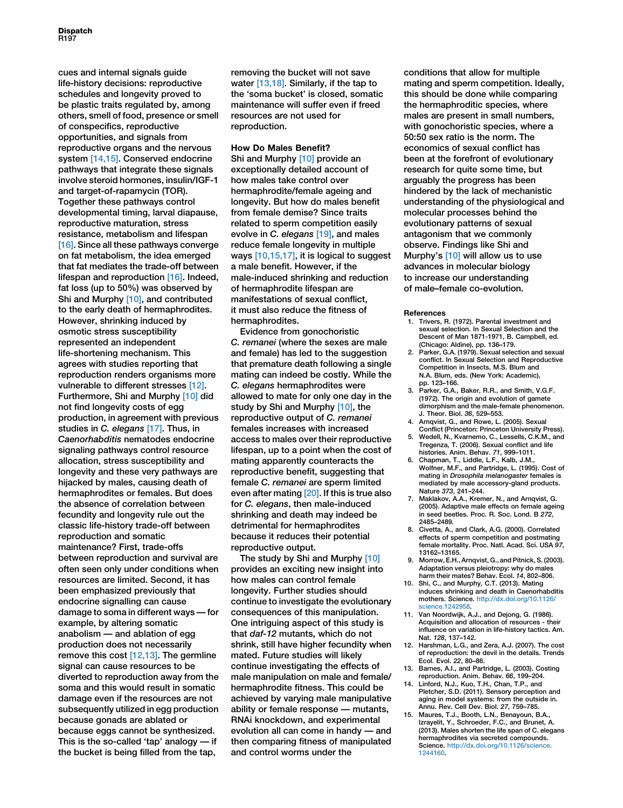<span id="page-1-0"></span>cues and internal signals guide life-history decisions: reproductive schedules and longevity proved to be plastic traits regulated by, among others, smell of food, presence or smell of conspecifics, reproductive opportunities, and signals from reproductive organs and the nervous system [14,15]. Conserved endocrine pathways that integrate these signals involve steroid hormones, insulin/IGF-1 and target-of-rapamycin (TOR). Together these pathways control developmental timing, larval diapause, reproductive maturation, stress resistance, metabolism and lifespan [\[16\]](#page-2-0). Since all these pathways converge on fat metabolism, the idea emerged that fat mediates the trade-off between lifespan and reproduction [\[16\].](#page-2-0) Indeed, fat loss (up to 50%) was observed by Shi and Murphy [10], and contributed to the early death of hermaphrodites. However, shrinking induced by osmotic stress susceptibility represented an independent life-shortening mechanism. This agrees with studies reporting that reproduction renders organisms more vulnerable to different stresses [12]. Furthermore, Shi and Murphy [10] did not find longevity costs of egg production, in agreement with previous studies in C. elegans [\[17\].](#page-2-0) Thus, in Caenorhabditis nematodes endocrine signaling pathways control resource allocation, stress susceptibility and longevity and these very pathways are hijacked by males, causing death of hermaphrodites or females. But does the absence of correlation between fecundity and longevity rule out the classic life-history trade-off between reproduction and somatic maintenance? First, trade-offs between reproduction and survival are often seen only under conditions when resources are limited. Second, it has been emphasized previously that endocrine signalling can cause damage to soma in different ways — for example, by altering somatic anabolism — and ablation of egg production does not necessarily remove this cost [12,13]. The germline signal can cause resources to be diverted to reproduction away from the soma and this would result in somatic damage even if the resources are not subsequently utilized in egg production because gonads are ablated or because eggs cannot be synthesized. This is the so-called 'tap' analogy — if the bucket is being filled from the tap,

removing the bucket will not save water [13,18]. Similarly, if the tap to the 'soma bucket' is closed, somatic maintenance will suffer even if freed resources are not used for reproduction.

## How Do Males Benefit?

Shi and Murphy [10] provide an exceptionally detailed account of how males take control over hermaphrodite/female ageing and longevity. But how do males benefit from female demise? Since traits related to sperm competition easily evolve in C. elegans [\[19\]](#page-2-0), and males reduce female longevity in multiple ways [10,15,17], it is logical to suggest a male benefit. However, if the male-induced shrinking and reduction of hermaphrodite lifespan are manifestations of sexual conflict, it must also reduce the fitness of hermaphrodites.

Evidence from gonochoristic C. remanei (where the sexes are male and female) has led to the suggestion that premature death following a single mating can indeed be costly. While the C. elegans hermaphrodites were allowed to mate for only one day in the study by Shi and Murphy [10], the reproductive output of C. remanei females increases with increased access to males over their reproductive lifespan, up to a point when the cost of mating apparently counteracts the reproductive benefit, suggesting that female C. remanei are sperm limited even after mating [\[20\]](#page-2-0). If this is true also for C. elegans, then male-induced shrinking and death may indeed be detrimental for hermaphrodites because it reduces their potential reproductive output.

The study by Shi and Murphy [10] provides an exciting new insight into how males can control female longevity. Further studies should continue to investigate the evolutionary consequences of this manipulation. One intriguing aspect of this study is that daf-12 mutants, which do not shrink, still have higher fecundity when mated. Future studies will likely continue investigating the effects of male manipulation on male and female/ hermaphrodite fitness. This could be achieved by varying male manipulative ability or female response — mutants, RNAi knockdown, and experimental evolution all can come in handy — and then comparing fitness of manipulated and control worms under the

conditions that allow for multiple mating and sperm competition. Ideally, this should be done while comparing the hermaphroditic species, where males are present in small numbers, with gonochoristic species, where a 50:50 sex ratio is the norm. The economics of sexual conflict has been at the forefront of evolutionary research for quite some time, but arguably the progress has been hindered by the lack of mechanistic understanding of the physiological and molecular processes behind the evolutionary patterns of sexual antagonism that we commonly observe. Findings like Shi and Murphy's [10] will allow us to use advances in molecular biology to increase our understanding of male–female co-evolution.

#### References

- 1. Trivers, R. (1972). Parental investment and sexual selection. In Sexual Selection and the Descent of Man 1871-1971, B. Campbell, ed. (Chicago: Aldine), pp. 136–179.
- 2. Parker, G.A. (1979). Sexual selection and sexual conflict. In Sexual Selection and Reproductive Competition in Insects, M.S. Blum and N.A. Blum, eds. (New York: Academic), pp. 123–166.
- 3. Parker, G.A., Baker, R.R., and Smith, V.G.F. (1972). The origin and evolution of gamete dimorphism and the male-female phenomenon. J. Theor. Biol. 36, 529–553.
- 4. Arnqvist, G., and Rowe, L. (2005). Sexual Conflict (Princeton: Princeton University Press).
- 5. Wedell, N., Kvarnemo, C., Lessells, C.K.M., and Tregenza, T. (2006). Sexual conflict and life histories. Anim. Behav. 71, 999–1011.
- 6. Chapman, T., Liddle, L.F., Kalb, J.M., Wolfner, M.F., and Partridge, L. (1995). Cost of mating in Drosophila melanogaster females is mediated by male accessory-gland products. Nature 373, 241–244.
- 7. Maklakov, A.A., Kremer, N., and Arnqvist, G. (2005). Adaptive male effects on female ageing in seed beetles. Proc. R. Soc. Lond. B 272, 2485–2489.
- 8. Civetta, A., and Clark, A.G. (2000). Correlated effects of sperm competition and postmating female mortality. Proc. Natl. Acad. Sci. USA 97, 13162–13165.
- 9. Morrow, E.H., Arnqvist, G., and Pitnick, S. (2003). Adaptation versus pleiotropy: why do males harm their mates? Behav. Ecol. 14, 802-806.
- 10. Shi, C., and Murphy, C.T. (2013). Mating induces shrinking and death in Caenorhabditis mothers. Science. [http://dx.doi.org/10.1126/](http://dx.doi.org/10.1126/science.1242958) [science.1242958](http://dx.doi.org/10.1126/science.1242958).
- 11. Van Noordwijk, A.J., and Dejong, G. (1986). Acquisition and allocation of resources - their influence on variation in life-history tactics. Am. Nat. 128, 137–142.
- 12. Harshman, L.G., and Zera, A.J. (2007). The cost of reproduction: the devil in the details. Trends Ecol. Evol. 22, 80–86.
- 13. Barnes, A.I., and Partridge, L. (2003). Costing reproduction. Anim. Behav. 66, 199–204.
- 14. Linford, N.J., Kuo, T.H., Chan, T.P., and Pletcher, S.D. (2011). Sensory perception and aging in model systems: from the outside in. Annu. Rev. Cell Dev. Biol. 27, 759–785.
- 15. Maures, T.J., Booth, L.N., Benayoun, B.A., Izrayelit, Y., Schroeder, F.C., and Brunet, A. (2013). Males shorten the life span of C. elegans hermaphrodites via secreted compounds. Science. [http://dx.doi.org/10.1126/science.](http://dx.doi.org/10.1126/science.1244160) [1244160.](http://dx.doi.org/10.1126/science.1244160)